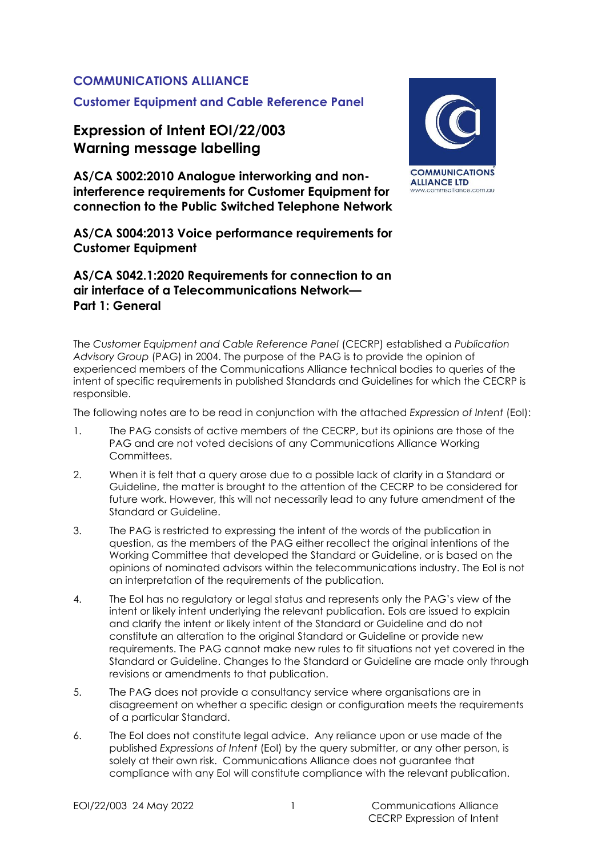### **COMMUNICATIONS ALLIANCE**

## **Customer Equipment and Cable Reference Panel**

# **Expression of Intent EOI/22/003 Warning message labelling**

**AS/CA S002:2010 Analogue interworking and noninterference requirements for Customer Equipment for connection to the Public Switched Telephone Network**

**AS/CA S004:2013 Voice performance requirements for Customer Equipment**

#### **AS/CA S042.1:2020 Requirements for connection to an air interface of a Telecommunications Network— Part 1: General**

The *Customer Equipment and Cable Reference Panel* (CECRP) established a *Publication Advisory Group* (PAG) in 2004. The purpose of the PAG is to provide the opinion of experienced members of the Communications Alliance technical bodies to queries of the intent of specific requirements in published Standards and Guidelines for which the CECRP is responsible.

The following notes are to be read in conjunction with the attached *Expression of Intent* (EoI):

- 1. The PAG consists of active members of the CECRP, but its opinions are those of the PAG and are not voted decisions of any Communications Alliance Working Committees.
- 2. When it is felt that a query arose due to a possible lack of clarity in a Standard or Guideline, the matter is brought to the attention of the CECRP to be considered for future work. However, this will not necessarily lead to any future amendment of the Standard or Guideline.
- 3. The PAG is restricted to expressing the intent of the words of the publication in question, as the members of the PAG either recollect the original intentions of the Working Committee that developed the Standard or Guideline, or is based on the opinions of nominated advisors within the telecommunications industry. The EoI is not an interpretation of the requirements of the publication.
- 4. The EoI has no regulatory or legal status and represents only the PAG's view of the intent or likely intent underlying the relevant publication. EoIs are issued to explain and clarify the intent or likely intent of the Standard or Guideline and do not constitute an alteration to the original Standard or Guideline or provide new requirements. The PAG cannot make new rules to fit situations not yet covered in the Standard or Guideline. Changes to the Standard or Guideline are made only through revisions or amendments to that publication.
- 5. The PAG does not provide a consultancy service where organisations are in disagreement on whether a specific design or configuration meets the requirements of a particular Standard.
- 6. The EoI does not constitute legal advice. Any reliance upon or use made of the published *Expressions of Intent* (EoI) by the query submitter, or any other person, is solely at their own risk. Communications Alliance does not guarantee that compliance with any EoI will constitute compliance with the relevant publication.

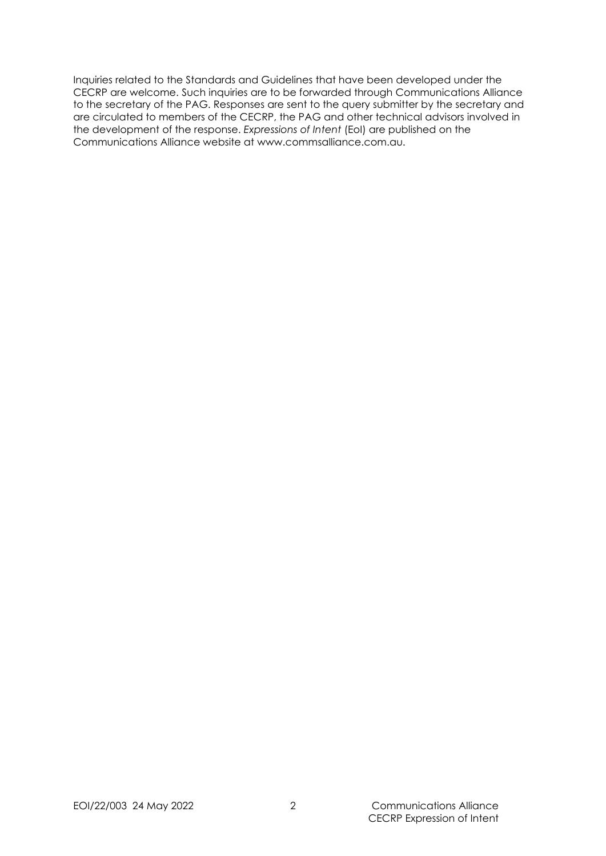Inquiries related to the Standards and Guidelines that have been developed under the CECRP are welcome. Such inquiries are to be forwarded through Communications Alliance to the secretary of the PAG. Responses are sent to the query submitter by the secretary and are circulated to members of the CECRP, the PAG and other technical advisors involved in the development of the response. *Expressions of Intent* (EoI) are published on the Communications Alliance website at www.commsalliance.com.au.